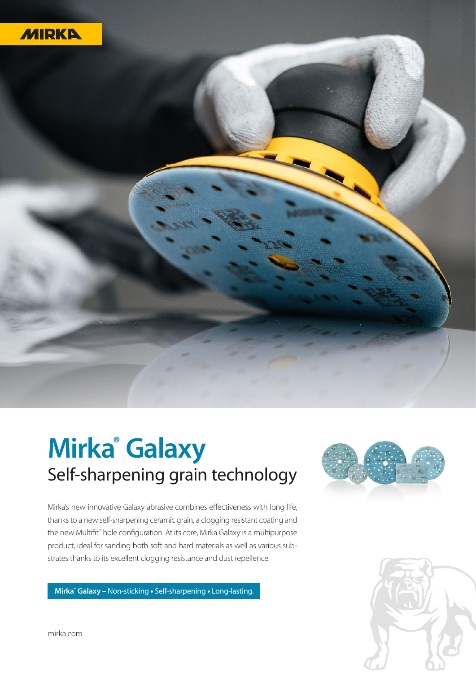



## **Mirka® Galaxy** Self-sharpening grain technology

Mirka's new innovative Galaxy abrasive combines effectiveness with long life, thanks to a new self-sharpening ceramic grain, a clogging resistant coating and the new Multifit<sup>™</sup> hole configuration. At its core, Mirka Galaxy is a multipurpose product, ideal for sanding both soft and hard materials as well as various substrates thanks to its excellent clogging resistance and dust repellence.

**Mirka® Galaxy –** Non-sticking • Self-sharpening • Long-lasting.